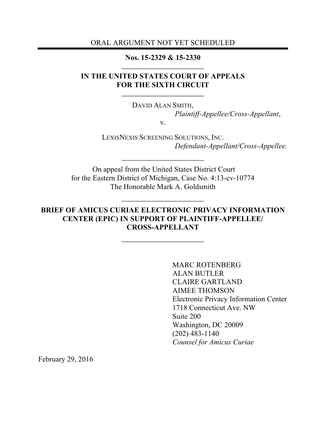ORAL ARGUMENT NOT YET SCHEDULED

#### **Nos. 15-2329 & 15-2330**

## **IN THE UNITED STATES COURT OF APPEALS FOR THE SIXTH CIRCUIT**

DAVID ALAN SMITH,

*Plaintiff-Appellee/Cross-Appellant*,

v.

LEXISNEXIS SCREENING SOLUTIONS, INC. *Defendant-Appellant/Cross-Appellee.*

On appeal from the United States District Court for the Eastern District of Michigan, Case No. 4:13-cv-10774 The Honorable Mark A. Goldsmith

## **BRIEF OF AMICUS CURIAE ELECTRONIC PRIVACY INFORMATION CENTER (EPIC) IN SUPPORT OF PLAINTIFF-APPELLEE/ CROSS-APPELLANT**

MARC ROTENBERG ALAN BUTLER CLAIRE GARTLAND AIMEE THOMSON Electronic Privacy Information Center 1718 Connecticut Ave. NW Suite 200 Washington, DC 20009 (202) 483-1140 *Counsel for Amicus Curiae*

February 29, 2016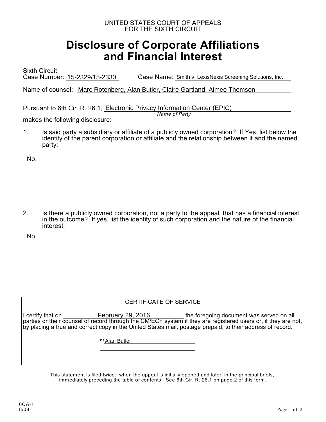#### UNITED STATES COURT OF APPEALS FOR THE SIXTH CIRCUIT

# **Disclosure of Corporate Affiliations and Financial Interest**

Sixth Circuit Case Number: 15-2329/15-2330 Case Name: Smith v. LexisNexis Screening Solutions, Inc.

Name of counsel: Marc Rotenberg, Alan Butler, Claire Gartland, Aimee Thomson

Pursuant to 6th Cir. R. 26.1, Electronic Privacy Information Center (EPIC)

*Name of Party*

makes the following disclosure:

1. Is said party a subsidiary or affiliate of a publicly owned corporation? If Yes, list below the identity of the parent corporation or affiliate and the relationship between it and the named party:

No.

2. Is there a publicly owned corporation, not a party to the appeal, that has a financial interest in the outcome? If yes, list the identity of such corporation and the nature of the financial interest:

No.

| <b>CERTIFICATE OF SERVICE</b> |  |
|-------------------------------|--|
|                               |  |
| s/Alan Butler                 |  |
|                               |  |
|                               |  |

This statement is filed twice: when the appeal is initially opened and later, in the principal briefs, immediately preceding the table of contents. See 6th Cir. R. 26.1 on page 2 of this form.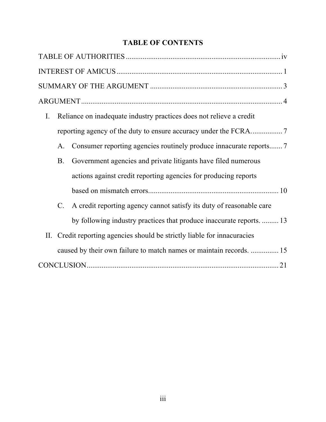# **TABLE OF CONTENTS**

| Reliance on inadequate industry practices does not relieve a credit<br>$\mathbf{I}$ . |
|---------------------------------------------------------------------------------------|
|                                                                                       |
| A.                                                                                    |
| Government agencies and private litigants have filed numerous<br><b>B.</b>            |
| actions against credit reporting agencies for producing reports                       |
|                                                                                       |
| A credit reporting agency cannot satisfy its duty of reasonable care<br>$C_{\cdot}$   |
| by following industry practices that produce inaccurate reports.  13                  |
| II. Credit reporting agencies should be strictly liable for innacuracies              |
| caused by their own failure to match names or maintain records.  15                   |
|                                                                                       |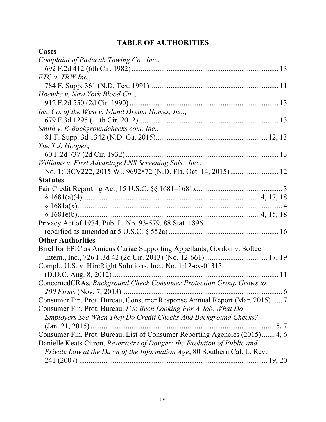# **TABLE OF AUTHORITIES**

| Cases                                                                       |
|-----------------------------------------------------------------------------|
| Complaint of Paducah Towing Co., Inc.,                                      |
|                                                                             |
| $FTC$ v. TRW Inc.,                                                          |
|                                                                             |
| Hoemke v. New York Blood Ctr.,                                              |
|                                                                             |
| Ins. Co. of the West v. Island Dream Homes, Inc.,                           |
|                                                                             |
| Smith v. E-Backgroundchecks.com, Inc.,                                      |
|                                                                             |
| The T.J. Hooper,                                                            |
| 60 F.2d 737 (2d Cir. 1932)                                                  |
| Williams v. First Advantage LNS Screening Sols., Inc.,                      |
| No. 1:13CV222, 2015 WL 9692872 (N.D. Fla. Oct. 14, 2015) 12                 |
| <b>Statutes</b>                                                             |
|                                                                             |
|                                                                             |
|                                                                             |
|                                                                             |
| Privacy Act of 1974, Pub. L. No. 93-579, 88 Stat. 1896                      |
|                                                                             |
| <b>Other Authorities</b>                                                    |
| Brief for EPIC as Amicus Curiae Supporting Appellants, Gordon v. Softech    |
|                                                                             |
| Compl., U.S. v. HireRight Solutions, Inc., No. 1:12-cv-01313                |
|                                                                             |
| ConcernedCRAs, Background Check Consumer Protection Group Grows to          |
|                                                                             |
| Consumer Fin. Prot. Bureau, Consumer Response Annual Report (Mar. 2015) 7   |
| Consumer Fin. Prot. Bureau, I've Been Looking For A Job. What Do            |
| Employers See When They Do Credit Checks And Background Checks?             |
|                                                                             |
| Consumer Fin. Prot. Bureau, List of Consumer Reporting Agencies (2015) 4, 6 |
| Danielle Keats Citron, Reservoirs of Danger: the Evolution of Public and    |
| Private Law at the Dawn of the Information Age, 80 Southern Cal. L. Rev.    |
|                                                                             |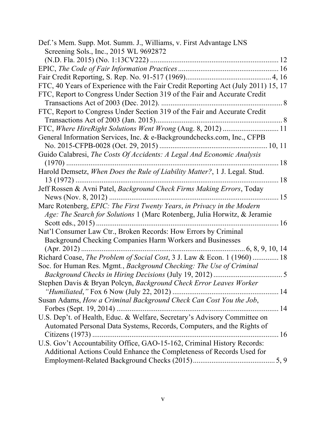| Def.'s Mem. Supp. Mot. Summ. J., Williams, v. First Advantage LNS                 |  |
|-----------------------------------------------------------------------------------|--|
| Screening Sols., Inc., 2015 WL 9692872                                            |  |
|                                                                                   |  |
|                                                                                   |  |
|                                                                                   |  |
| FTC, 40 Years of Experience with the Fair Credit Reporting Act (July 2011) 15, 17 |  |
| FTC, Report to Congress Under Section 319 of the Fair and Accurate Credit         |  |
|                                                                                   |  |
| FTC, Report to Congress Under Section 319 of the Fair and Accurate Credit         |  |
|                                                                                   |  |
| FTC, Where HireRight Solutions Went Wrong (Aug. 8, 2012)  11                      |  |
| General Information Services, Inc. & e-Backgroundchecks.com, Inc., CFPB           |  |
|                                                                                   |  |
| Guido Calabresi, The Costs Of Accidents: A Legal And Economic Analysis            |  |
| . 18                                                                              |  |
| Harold Demsetz, When Does the Rule of Liability Matter?, 1 J. Legal. Stud.        |  |
|                                                                                   |  |
| Jeff Rossen & Avni Patel, Background Check Firms Making Errors, Today             |  |
|                                                                                   |  |
| Marc Rotenberg, EPIC: The First Twenty Years, in Privacy in the Modern            |  |
| Age: The Search for Solutions 1 (Marc Rotenberg, Julia Horwitz, & Jeramie         |  |
|                                                                                   |  |
| Nat'l Consumer Law Ctr., Broken Records: How Errors by Criminal                   |  |
| Background Checking Companies Harm Workers and Businesses                         |  |
|                                                                                   |  |
| Richard Coase, The Problem of Social Cost, 3 J. Law & Econ. 1 (1960)  18          |  |
| Soc. for Human Res. Mgmt., Background Checking: The Use of Criminal               |  |
|                                                                                   |  |
| Stephen Davis & Bryan Polcyn, Background Check Error Leaves Worker                |  |
|                                                                                   |  |
| Susan Adams, How a Criminal Background Check Can Cost You the Job,                |  |
| Forbes (Sept. 19, 2014)                                                           |  |
| U.S. Dep't. of Health, Educ. & Welfare, Secretary's Advisory Committee on         |  |
| Automated Personal Data Systems, Records, Computers, and the Rights of            |  |
| Citizens (1973)                                                                   |  |
| U.S. Gov't Accountability Office, GAO-15-162, Criminal History Records:           |  |
| Additional Actions Could Enhance the Completeness of Records Used for             |  |
|                                                                                   |  |
|                                                                                   |  |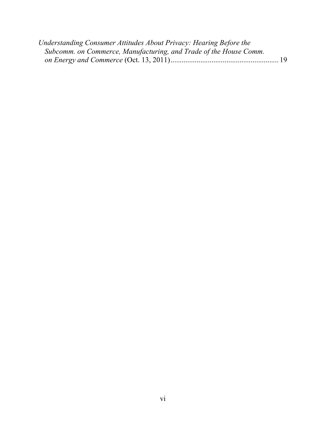| Understanding Consumer Attitudes About Privacy: Hearing Before the |  |
|--------------------------------------------------------------------|--|
| Subcomm. on Commerce, Manufacturing, and Trade of the House Comm.  |  |
|                                                                    |  |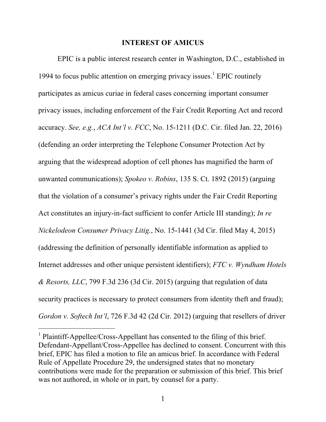#### **INTEREST OF AMICUS**

EPIC is a public interest research center in Washington, D.C., established in 1994 to focus public attention on emerging privacy issues. <sup>1</sup> EPIC routinely participates as amicus curiae in federal cases concerning important consumer privacy issues, including enforcement of the Fair Credit Reporting Act and record accuracy. *See, e.g.*, *ACA Int'l v. FCC*, No. 15-1211 (D.C. Cir. filed Jan. 22, 2016) (defending an order interpreting the Telephone Consumer Protection Act by arguing that the widespread adoption of cell phones has magnified the harm of unwanted communications); *Spokeo v. Robins*, 135 S. Ct. 1892 (2015) (arguing that the violation of a consumer's privacy rights under the Fair Credit Reporting Act constitutes an injury-in-fact sufficient to confer Article III standing); *In re Nickelodeon Consumer Privacy Litig.*, No. 15-1441 (3d Cir. filed May 4, 2015) (addressing the definition of personally identifiable information as applied to Internet addresses and other unique persistent identifiers); *FTC v. Wyndham Hotels & Resorts, LLC*, 799 F.3d 236 (3d Cir. 2015) (arguing that regulation of data security practices is necessary to protect consumers from identity theft and fraud); *Gordon v. Softech Int'l*, 726 F.3d 42 (2d Cir. 2012) (arguing that resellers of driver

<sup>&</sup>lt;sup>1</sup> Plaintiff-Appellee/Cross-Appellant has consented to the filing of this brief. Defendant-Appellant/Cross-Appellee has declined to consent. Concurrent with this brief, EPIC has filed a motion to file an amicus brief. In accordance with Federal Rule of Appellate Procedure 29, the undersigned states that no monetary contributions were made for the preparation or submission of this brief. This brief was not authored, in whole or in part, by counsel for a party.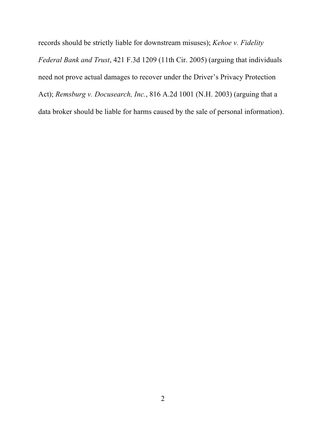records should be strictly liable for downstream misuses); *Kehoe v. Fidelity Federal Bank and Trust*, 421 F.3d 1209 (11th Cir. 2005) (arguing that individuals need not prove actual damages to recover under the Driver's Privacy Protection Act); *Remsburg v. Docusearch, Inc.*, 816 A.2d 1001 (N.H. 2003) (arguing that a data broker should be liable for harms caused by the sale of personal information).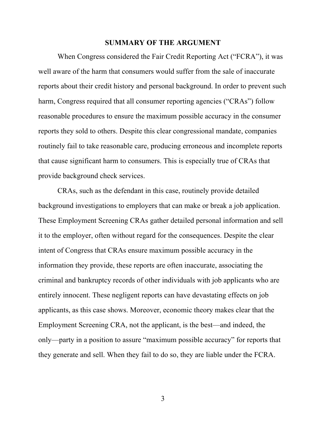#### **SUMMARY OF THE ARGUMENT**

When Congress considered the Fair Credit Reporting Act ("FCRA"), it was well aware of the harm that consumers would suffer from the sale of inaccurate reports about their credit history and personal background. In order to prevent such harm, Congress required that all consumer reporting agencies ("CRAs") follow reasonable procedures to ensure the maximum possible accuracy in the consumer reports they sold to others. Despite this clear congressional mandate, companies routinely fail to take reasonable care, producing erroneous and incomplete reports that cause significant harm to consumers. This is especially true of CRAs that provide background check services.

CRAs, such as the defendant in this case, routinely provide detailed background investigations to employers that can make or break a job application. These Employment Screening CRAs gather detailed personal information and sell it to the employer, often without regard for the consequences. Despite the clear intent of Congress that CRAs ensure maximum possible accuracy in the information they provide, these reports are often inaccurate, associating the criminal and bankruptcy records of other individuals with job applicants who are entirely innocent. These negligent reports can have devastating effects on job applicants, as this case shows. Moreover, economic theory makes clear that the Employment Screening CRA, not the applicant, is the best—and indeed, the only—party in a position to assure "maximum possible accuracy" for reports that they generate and sell. When they fail to do so, they are liable under the FCRA.

3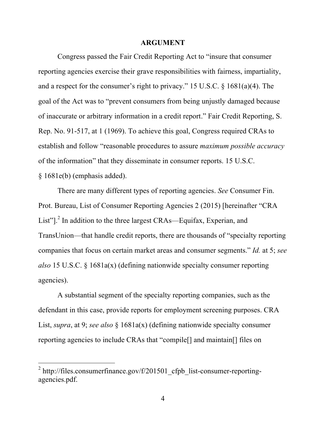#### **ARGUMENT**

Congress passed the Fair Credit Reporting Act to "insure that consumer reporting agencies exercise their grave responsibilities with fairness, impartiality, and a respect for the consumer's right to privacy." 15 U.S.C. § 1681(a)(4). The goal of the Act was to "prevent consumers from being unjustly damaged because of inaccurate or arbitrary information in a credit report." Fair Credit Reporting, S. Rep. No. 91-517, at 1 (1969). To achieve this goal, Congress required CRAs to establish and follow "reasonable procedures to assure *maximum possible accuracy* of the information" that they disseminate in consumer reports. 15 U.S.C. § 1681e(b) (emphasis added).

There are many different types of reporting agencies. *See* Consumer Fin. Prot. Bureau, List of Consumer Reporting Agencies 2 (2015) [hereinafter "CRA List"]<sup>2</sup>. In addition to the three largest CRAs—Equifax, Experian, and TransUnion—that handle credit reports, there are thousands of "specialty reporting companies that focus on certain market areas and consumer segments." *Id.* at 5; *see also* 15 U.S.C. § 1681a(x) (defining nationwide specialty consumer reporting agencies).

A substantial segment of the specialty reporting companies, such as the defendant in this case, provide reports for employment screening purposes. CRA List, *supra*, at 9; *see also* § 1681a(x) (defining nationwide specialty consumer reporting agencies to include CRAs that "compile[] and maintain[] files on

 $2 \text{ http://files.comsumer finance.gov/f/201501-cfpb}$  list-consumer-reportingagencies.pdf.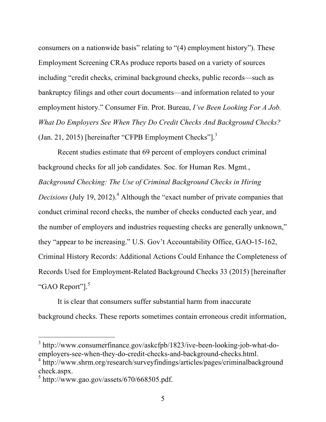consumers on a nationwide basis" relating to "(4) employment history"). These Employment Screening CRAs produce reports based on a variety of sources including "credit checks, criminal background checks, public records—such as bankruptcy filings and other court documents—and information related to your employment history." Consumer Fin. Prot. Bureau, *I've Been Looking For A Job. What Do Employers See When They Do Credit Checks And Background Checks?* (Jan. 21, 2015) [hereinafter "CFPB Employment Checks"].<sup>3</sup>

Recent studies estimate that 69 percent of employers conduct criminal background checks for all job candidates. Soc. for Human Res. Mgmt*.*, *Background Checking: The Use of Criminal Background Checks in Hiring Decisions* (July 19, 2012). <sup>4</sup> Although the "exact number of private companies that conduct criminal record checks, the number of checks conducted each year, and the number of employers and industries requesting checks are generally unknown," they "appear to be increasing." U.S. Gov't Accountability Office, GAO-15-162, Criminal History Records: Additional Actions Could Enhance the Completeness of Records Used for Employment-Related Background Checks 33 (2015) [hereinafter "GAO Report"].<sup>5</sup>

It is clear that consumers suffer substantial harm from inaccurate background checks. These reports sometimes contain erroneous credit information,

<sup>3</sup> http://www.consumerfinance.gov/askcfpb/1823/ive-been-looking-job-what-doemployers-see-when-they-do-credit-checks-and-background-checks.html.

<sup>4</sup> http://www.shrm.org/research/surveyfindings/articles/pages/criminalbackground check.aspx.

 $5 \text{ http://www.gao.gov/assets/670/668505.pdf}.$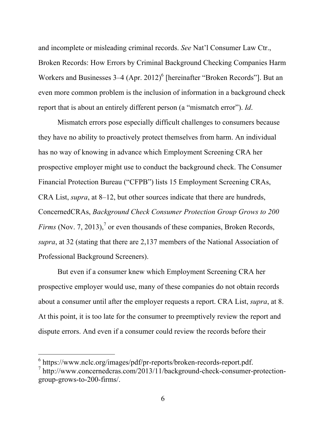and incomplete or misleading criminal records. *See* Nat'l Consumer Law Ctr., Broken Records: How Errors by Criminal Background Checking Companies Harm Workers and Businesses  $3-4$  (Apr. 2012)<sup>6</sup> [hereinafter "Broken Records"]. But an even more common problem is the inclusion of information in a background check report that is about an entirely different person (a "mismatch error"). *Id*.

Mismatch errors pose especially difficult challenges to consumers because they have no ability to proactively protect themselves from harm. An individual has no way of knowing in advance which Employment Screening CRA her prospective employer might use to conduct the background check. The Consumer Financial Protection Bureau ("CFPB") lists 15 Employment Screening CRAs, CRA List, *supra*, at 8–12, but other sources indicate that there are hundreds, ConcernedCRAs, *Background Check Consumer Protection Group Grows to 200 Firms* (Nov. 7, 2013),<sup>7</sup> or even thousands of these companies, Broken Records, *supra*, at 32 (stating that there are 2,137 members of the National Association of Professional Background Screeners).

But even if a consumer knew which Employment Screening CRA her prospective employer would use, many of these companies do not obtain records about a consumer until after the employer requests a report. CRA List, *supra*, at 8. At this point, it is too late for the consumer to preemptively review the report and dispute errors. And even if a consumer could review the records before their

<sup>6</sup> https://www.nclc.org/images/pdf/pr-reports/broken-records-report.pdf.

 $^7$  http://www.concernedcras.com/2013/11/background-check-consumer-protectiongroup-grows-to-200-firms/.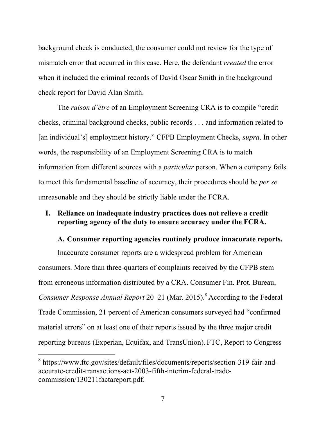background check is conducted, the consumer could not review for the type of mismatch error that occurred in this case. Here, the defendant *created* the error when it included the criminal records of David Oscar Smith in the background check report for David Alan Smith.

The *raison d'être* of an Employment Screening CRA is to compile "credit checks, criminal background checks, public records . . . and information related to [an individual's] employment history." CFPB Employment Checks, *supra*. In other words, the responsibility of an Employment Screening CRA is to match information from different sources with a *particular* person. When a company fails to meet this fundamental baseline of accuracy, their procedures should be *per se* unreasonable and they should be strictly liable under the FCRA.

# **I. Reliance on inadequate industry practices does not relieve a credit reporting agency of the duty to ensure accuracy under the FCRA.**

## **A. Consumer reporting agencies routinely produce innacurate reports.**

Inaccurate consumer reports are a widespread problem for American consumers. More than three-quarters of complaints received by the CFPB stem from erroneous information distributed by a CRA. Consumer Fin. Prot. Bureau, *Consumer Response Annual Report* 20–21 (Mar. 2015). <sup>8</sup> According to the Federal Trade Commission, 21 percent of American consumers surveyed had "confirmed material errors" on at least one of their reports issued by the three major credit reporting bureaus (Experian, Equifax, and TransUnion). FTC, Report to Congress

<sup>8</sup> https://www.ftc.gov/sites/default/files/documents/reports/section-319-fair-andaccurate-credit-transactions-act-2003-fifth-interim-federal-tradecommission/130211factareport.pdf.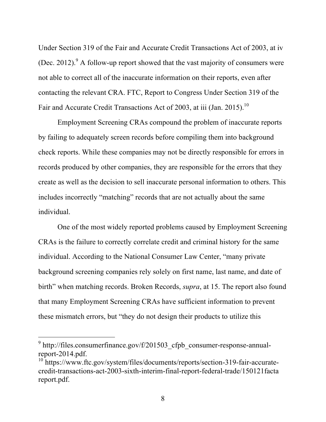Under Section 319 of the Fair and Accurate Credit Transactions Act of 2003, at iv (Dec. 2012). A follow-up report showed that the vast majority of consumers were not able to correct all of the inaccurate information on their reports, even after contacting the relevant CRA. FTC, Report to Congress Under Section 319 of the Fair and Accurate Credit Transactions Act of 2003, at iii (Jan. 2015).<sup>10</sup>

Employment Screening CRAs compound the problem of inaccurate reports by failing to adequately screen records before compiling them into background check reports. While these companies may not be directly responsible for errors in records produced by other companies, they are responsible for the errors that they create as well as the decision to sell inaccurate personal information to others. This includes incorrectly "matching" records that are not actually about the same individual.

One of the most widely reported problems caused by Employment Screening CRAs is the failure to correctly correlate credit and criminal history for the same individual. According to the National Consumer Law Center, "many private background screening companies rely solely on first name, last name, and date of birth" when matching records. Broken Records, *supra*, at 15. The report also found that many Employment Screening CRAs have sufficient information to prevent these mismatch errors, but "they do not design their products to utilize this

 $9$  http://files.consumerfinance.gov/f/201503 cfpb consumer-response-annualreport-2014.pdf.

<sup>&</sup>lt;sup>10</sup> https://www.ftc.gov/system/files/documents/reports/section-319-fair-accuratecredit-transactions-act-2003-sixth-interim-final-report-federal-trade/150121facta report.pdf.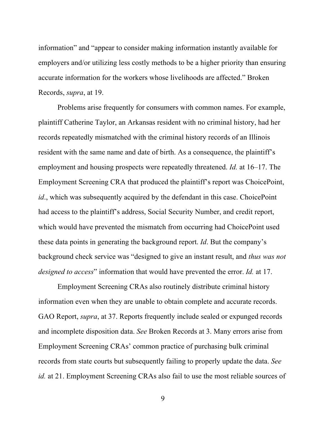information" and "appear to consider making information instantly available for employers and/or utilizing less costly methods to be a higher priority than ensuring accurate information for the workers whose livelihoods are affected." Broken Records, *supra*, at 19.

Problems arise frequently for consumers with common names. For example, plaintiff Catherine Taylor, an Arkansas resident with no criminal history, had her records repeatedly mismatched with the criminal history records of an Illinois resident with the same name and date of birth. As a consequence, the plaintiff's employment and housing prospects were repeatedly threatened. *Id.* at 16–17. The Employment Screening CRA that produced the plaintiff's report was ChoicePoint, *id*., which was subsequently acquired by the defendant in this case. ChoicePoint had access to the plaintiff's address, Social Security Number, and credit report, which would have prevented the mismatch from occurring had ChoicePoint used these data points in generating the background report. *Id*. But the company's background check service was "designed to give an instant result, and *thus was not designed to access*" information that would have prevented the error. *Id.* at 17.

Employment Screening CRAs also routinely distribute criminal history information even when they are unable to obtain complete and accurate records. GAO Report, *supra*, at 37. Reports frequently include sealed or expunged records and incomplete disposition data. *See* Broken Records at 3. Many errors arise from Employment Screening CRAs' common practice of purchasing bulk criminal records from state courts but subsequently failing to properly update the data. *See id.* at 21. Employment Screening CRAs also fail to use the most reliable sources of

9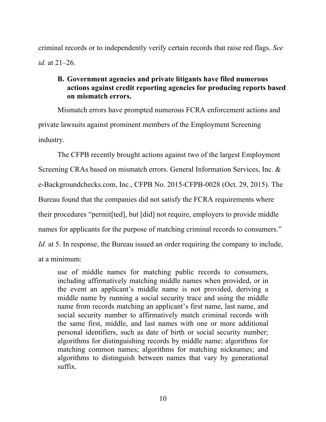criminal records or to independently verify certain records that raise red flags. *See id.* at 21–26.

# **B. Government agencies and private litigants have filed numerous actions against credit reporting agencies for producing reports based on mismatch errors.**

Mismatch errors have prompted numerous FCRA enforcement actions and private lawsuits against prominent members of the Employment Screening industry.

The CFPB recently brought actions against two of the largest Employment Screening CRAs based on mismatch errors. General Information Services, Inc. & e-Backgroundchecks.com, Inc., CFPB No. 2015-CFPB-0028 (Oct. 29, 2015). The Bureau found that the companies did not satisfy the FCRA requirements where their procedures "permit[ted], but [did] not require, employers to provide middle names for applicants for the purpose of matching criminal records to consumers." *Id.* at 5. In response, the Bureau issued an order requiring the company to include, at a minimum:

use of middle names for matching public records to consumers, including affirmatively matching middle names when provided, or in the event an applicant's middle name is not provided, deriving a middle name by running a social security trace and using the middle name from records matching an applicant's first name, last name, and social security number to affirmatively match criminal records with the same first, middle, and last names with one or more additional personal identifiers, such as date of birth or social security number; algorithms for distinguishing records by middle name; algorithms for matching common names; algorithms for matching nicknames; and algorithms to distinguish between names that vary by generational suffix.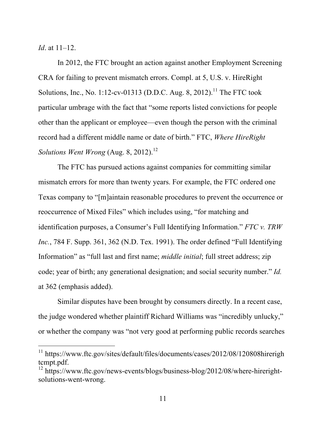*Id*. at 11–12.

 $\overline{a}$ 

In 2012, the FTC brought an action against another Employment Screening CRA for failing to prevent mismatch errors. Compl. at 5, U.S. v. HireRight Solutions, Inc., No. 1:12-cv-01313 (D.D.C. Aug. 8, 2012).<sup>11</sup> The FTC took particular umbrage with the fact that "some reports listed convictions for people other than the applicant or employee—even though the person with the criminal record had a different middle name or date of birth." FTC, *Where HireRight Solutions Went Wrong* (Aug. 8, 2012). 12

The FTC has pursued actions against companies for committing similar mismatch errors for more than twenty years. For example, the FTC ordered one Texas company to "[m]aintain reasonable procedures to prevent the occurrence or reoccurrence of Mixed Files" which includes using, "for matching and identification purposes, a Consumer's Full Identifying Information." *FTC v. TRW Inc.*, 784 F. Supp. 361, 362 (N.D. Tex. 1991). The order defined "Full Identifying Information" as "full last and first name; *middle initial*; full street address; zip code; year of birth; any generational designation; and social security number." *Id.* at 362 (emphasis added).

Similar disputes have been brought by consumers directly. In a recent case, the judge wondered whether plaintiff Richard Williams was "incredibly unlucky," or whether the company was "not very good at performing public records searches

<sup>&</sup>lt;sup>11</sup> https://www.ftc.gov/sites/default/files/documents/cases/2012/08/120808hirerigh tcmpt.pdf.

 $12 \text{ https://www.ftc.gov/news-events/blogs/business-blog/2012/08/where-hireright-}$ solutions-went-wrong.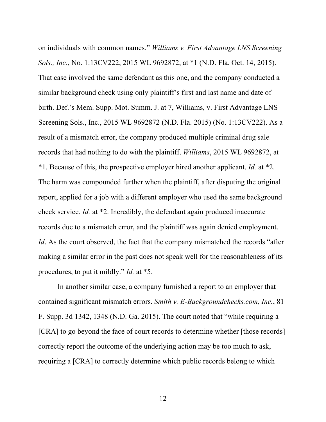on individuals with common names." *Williams v. First Advantage LNS Screening Sols., Inc.*, No. 1:13CV222, 2015 WL 9692872, at \*1 (N.D. Fla. Oct. 14, 2015). That case involved the same defendant as this one, and the company conducted a similar background check using only plaintiff's first and last name and date of birth. Def.'s Mem. Supp. Mot. Summ. J. at 7, Williams, v. First Advantage LNS Screening Sols., Inc., 2015 WL 9692872 (N.D. Fla. 2015) (No. 1:13CV222). As a result of a mismatch error, the company produced multiple criminal drug sale records that had nothing to do with the plaintiff. *Williams*, 2015 WL 9692872, at \*1. Because of this, the prospective employer hired another applicant. *Id.* at \*2. The harm was compounded further when the plaintiff, after disputing the original report, applied for a job with a different employer who used the same background check service. *Id.* at \*2. Incredibly, the defendant again produced inaccurate records due to a mismatch error, and the plaintiff was again denied employment. *Id*. As the court observed, the fact that the company mismatched the records "after" making a similar error in the past does not speak well for the reasonableness of its procedures, to put it mildly." *Id.* at \*5.

In another similar case, a company furnished a report to an employer that contained significant mismatch errors. *Smith v. E-Backgroundchecks.com, Inc.*, 81 F. Supp. 3d 1342, 1348 (N.D. Ga. 2015). The court noted that "while requiring a [CRA] to go beyond the face of court records to determine whether [those records] correctly report the outcome of the underlying action may be too much to ask, requiring a [CRA] to correctly determine which public records belong to which

12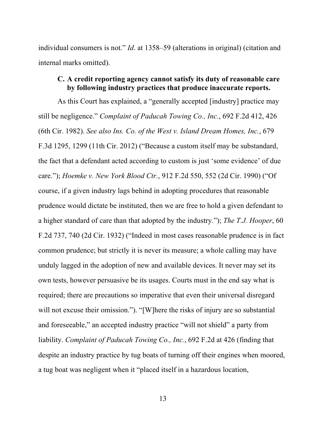individual consumers is not." *Id*. at 1358–59 (alterations in original) (citation and internal marks omitted).

## **C. A credit reporting agency cannot satisfy its duty of reasonable care by following industry practices that produce inaccurate reports.**

As this Court has explained, a "generally accepted [industry] practice may still be negligence." *Complaint of Paducah Towing Co., Inc.*, 692 F.2d 412, 426 (6th Cir. 1982). *See also Ins. Co. of the West v. Island Dream Homes, Inc.*, 679 F.3d 1295, 1299 (11th Cir. 2012) ("Because a custom itself may be substandard, the fact that a defendant acted according to custom is just 'some evidence' of due care."); *Hoemke v. New York Blood Ctr.*, 912 F.2d 550, 552 (2d Cir. 1990) ("Of course, if a given industry lags behind in adopting procedures that reasonable prudence would dictate be instituted, then we are free to hold a given defendant to a higher standard of care than that adopted by the industry."); *The T.J. Hooper*, 60 F.2d 737, 740 (2d Cir. 1932) ("Indeed in most cases reasonable prudence is in fact common prudence; but strictly it is never its measure; a whole calling may have unduly lagged in the adoption of new and available devices. It never may set its own tests, however persuasive be its usages. Courts must in the end say what is required; there are precautions so imperative that even their universal disregard will not excuse their omission."). "[W]here the risks of injury are so substantial and foreseeable," an accepted industry practice "will not shield" a party from liability. *Complaint of Paducah Towing Co., Inc.*, 692 F.2d at 426 (finding that despite an industry practice by tug boats of turning off their engines when moored, a tug boat was negligent when it "placed itself in a hazardous location,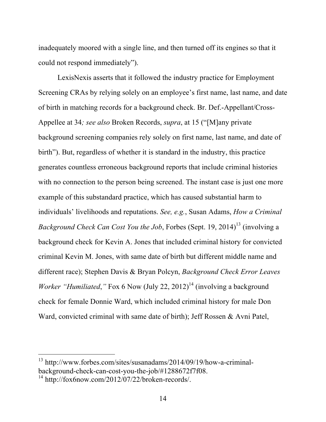inadequately moored with a single line, and then turned off its engines so that it could not respond immediately").

LexisNexis asserts that it followed the industry practice for Employment Screening CRAs by relying solely on an employee's first name, last name, and date of birth in matching records for a background check. Br. Def.-Appellant/Cross-Appellee at 34*; see also* Broken Records, *supra*, at 15 ("[M]any private background screening companies rely solely on first name, last name, and date of birth"). But, regardless of whether it is standard in the industry, this practice generates countless erroneous background reports that include criminal histories with no connection to the person being screened. The instant case is just one more example of this substandard practice, which has caused substantial harm to individuals' livelihoods and reputations. *See, e.g.*, Susan Adams, *How a Criminal Background Check Can Cost You the Job*, Forbes (Sept. 19, 2014)<sup>13</sup> (involving a background check for Kevin A. Jones that included criminal history for convicted criminal Kevin M. Jones, with same date of birth but different middle name and different race); Stephen Davis & Bryan Polcyn, *Background Check Error Leaves Worker "Humiliated,"* Fox 6 Now (July 22, 2012)<sup>14</sup> (involving a background check for female Donnie Ward, which included criminal history for male Don Ward, convicted criminal with same date of birth); Jeff Rossen & Avni Patel,

<sup>13</sup> http://www.forbes.com/sites/susanadams/2014/09/19/how-a-criminalbackground-check-can-cost-you-the-job/#1288672f7f08.

 $14 \text{ http://fox6now.com/2012/07/22/broken-records/$ .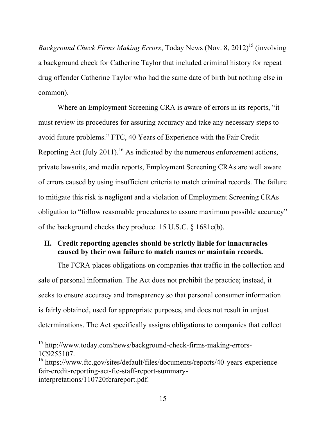*Background Check Firms Making Errors*, Today News (Nov. 8, 2012)<sup>15</sup> (involving a background check for Catherine Taylor that included criminal history for repeat drug offender Catherine Taylor who had the same date of birth but nothing else in common).

Where an Employment Screening CRA is aware of errors in its reports, "it must review its procedures for assuring accuracy and take any necessary steps to avoid future problems." FTC, 40 Years of Experience with the Fair Credit Reporting Act (July 2011).<sup>16</sup> As indicated by the numerous enforcement actions, private lawsuits, and media reports, Employment Screening CRAs are well aware of errors caused by using insufficient criteria to match criminal records. The failure to mitigate this risk is negligent and a violation of Employment Screening CRAs obligation to "follow reasonable procedures to assure maximum possible accuracy" of the background checks they produce. 15 U.S.C. § 1681e(b).

## **II. Credit reporting agencies should be strictly liable for innacuracies caused by their own failure to match names or maintain records.**

The FCRA places obligations on companies that traffic in the collection and sale of personal information. The Act does not prohibit the practice; instead, it seeks to ensure accuracy and transparency so that personal consumer information is fairly obtained, used for appropriate purposes, and does not result in unjust determinations. The Act specifically assigns obligations to companies that collect

<sup>15</sup> http://www.today.com/news/background-check-firms-making-errors-1C9255107.

<sup>16</sup> https://www.ftc.gov/sites/default/files/documents/reports/40-years-experiencefair-credit-reporting-act-ftc-staff-report-summaryinterpretations/110720fcrareport.pdf.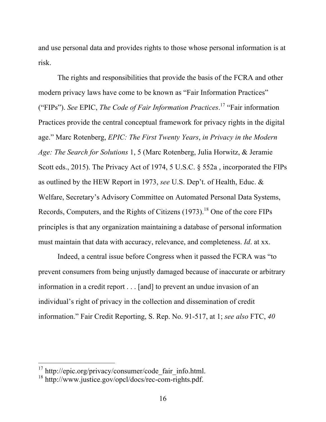and use personal data and provides rights to those whose personal information is at risk.

The rights and responsibilities that provide the basis of the FCRA and other modern privacy laws have come to be known as "Fair Information Practices" ("FIPs"). *See* EPIC, *The Code of Fair Information Practices*. <sup>17</sup> "Fair information Practices provide the central conceptual framework for privacy rights in the digital age." Marc Rotenberg, *EPIC: The First Twenty Years*, *in Privacy in the Modern Age: The Search for Solutions* 1, 5 (Marc Rotenberg, Julia Horwitz, & Jeramie Scott eds., 2015). The Privacy Act of 1974, 5 U.S.C. § 552a , incorporated the FIPs as outlined by the HEW Report in 1973, *see* U.S. Dep't. of Health, Educ. & Welfare, Secretary's Advisory Committee on Automated Personal Data Systems, Records, Computers, and the Rights of Citizens  $(1973)$ .<sup>18</sup> One of the core FIPs principles is that any organization maintaining a database of personal information must maintain that data with accuracy, relevance, and completeness. *Id*. at xx.

Indeed, a central issue before Congress when it passed the FCRA was "to prevent consumers from being unjustly damaged because of inaccurate or arbitrary information in a credit report . . . [and] to prevent an undue invasion of an individual's right of privacy in the collection and dissemination of credit information." Fair Credit Reporting, S. Rep. No. 91-517, at 1; *see also* FTC, *40* 

<sup>&</sup>lt;sup>17</sup> http://epic.org/privacy/consumer/code\_fair\_info.html.

 $18 \text{ http://www.justice.gov/opcl/docs/rec-com- rights.pdf}.$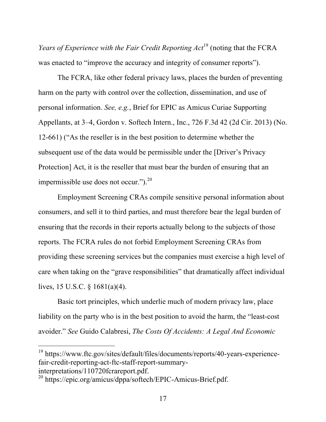*Years of Experience with the Fair Credit Reporting Act*<sup>19</sup> (noting that the FCRA was enacted to "improve the accuracy and integrity of consumer reports").

The FCRA, like other federal privacy laws, places the burden of preventing harm on the party with control over the collection, dissemination, and use of personal information. *See, e.g.*, Brief for EPIC as Amicus Curiae Supporting Appellants, at 3–4, Gordon v. Softech Intern., Inc., 726 F.3d 42 (2d Cir. 2013) (No. 12-661) ("As the reseller is in the best position to determine whether the subsequent use of the data would be permissible under the [Driver's Privacy Protection] Act, it is the reseller that must bear the burden of ensuring that an impermissible use does not occur.").20

Employment Screening CRAs compile sensitive personal information about consumers, and sell it to third parties, and must therefore bear the legal burden of ensuring that the records in their reports actually belong to the subjects of those reports. The FCRA rules do not forbid Employment Screening CRAs from providing these screening services but the companies must exercise a high level of care when taking on the "grave responsibilities" that dramatically affect individual lives, 15 U.S.C. § 1681(a)(4).

Basic tort principles, which underlie much of modern privacy law, place liability on the party who is in the best position to avoid the harm, the "least-cost avoider." *See* Guido Calabresi, *The Costs Of Accidents: A Legal And Economic* 

<sup>&</sup>lt;sup>19</sup> https://www.ftc.gov/sites/default/files/documents/reports/40-years-experiencefair-credit-reporting-act-ftc-staff-report-summaryinterpretations/110720fcrareport.pdf.

<sup>20</sup> https://epic.org/amicus/dppa/softech/EPIC-Amicus-Brief.pdf.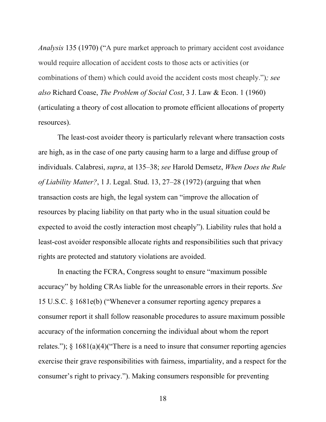*Analysis* 135 (1970) ("A pure market approach to primary accident cost avoidance would require allocation of accident costs to those acts or activities (or combinations of them) which could avoid the accident costs most cheaply.")*; see also* Richard Coase, *The Problem of Social Cost*, 3 J. Law & Econ. 1 (1960) (articulating a theory of cost allocation to promote efficient allocations of property resources).

The least-cost avoider theory is particularly relevant where transaction costs are high, as in the case of one party causing harm to a large and diffuse group of individuals. Calabresi, *supra*, at 135–38; *see* Harold Demsetz, *When Does the Rule of Liability Matter?*, 1 J. Legal. Stud. 13, 27–28 (1972) (arguing that when transaction costs are high, the legal system can "improve the allocation of resources by placing liability on that party who in the usual situation could be expected to avoid the costly interaction most cheaply"). Liability rules that hold a least-cost avoider responsible allocate rights and responsibilities such that privacy rights are protected and statutory violations are avoided.

In enacting the FCRA, Congress sought to ensure "maximum possible accuracy" by holding CRAs liable for the unreasonable errors in their reports. *See*  15 U.S.C. § 1681e(b) ("Whenever a consumer reporting agency prepares a consumer report it shall follow reasonable procedures to assure maximum possible accuracy of the information concerning the individual about whom the report relates.");  $\S$  1681(a)(4)("There is a need to insure that consumer reporting agencies exercise their grave responsibilities with fairness, impartiality, and a respect for the consumer's right to privacy."). Making consumers responsible for preventing

18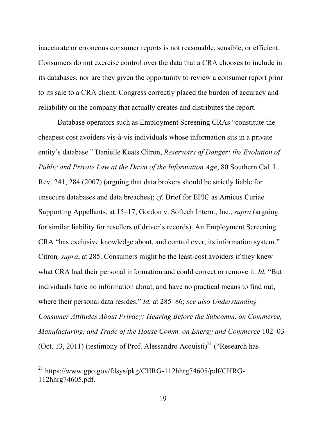inaccurate or erroneous consumer reports is not reasonable, sensible, or efficient. Consumers do not exercise control over the data that a CRA chooses to include in its databases, nor are they given the opportunity to review a consumer report prior to its sale to a CRA client. Congress correctly placed the burden of accuracy and reliability on the company that actually creates and distributes the report.

Database operators such as Employment Screening CRAs "constitute the cheapest cost avoiders vis-à-vis individuals whose information sits in a private entity's database." Danielle Keats Citron, *Reservoirs of Danger: the Evolution of Public and Private Law at the Dawn of the Information Age*, 80 Southern Cal. L. Rev. 241, 284 (2007) (arguing that data brokers should be strictly liable for unsecure databases and data breaches); *cf.* Brief for EPIC as Amicus Curiae Supporting Appellants, at 15–17, Gordon v. Softech Intern., Inc., *supra* (arguing for similar liability for resellers of driver's records). An Employment Screening CRA "has exclusive knowledge about, and control over, its information system." Citron*, supra*, at 285. Consumers might be the least-cost avoiders if they knew what CRA had their personal information and could correct or remove it. *Id.* "But individuals have no information about, and have no practical means to find out, where their personal data resides." *Id.* at 285–86; *see also Understanding Consumer Attitudes About Privacy: Hearing Before the Subcomm. on Commerce, Manufacturing, and Trade of the House Comm. on Energy and Commerce* 102–03 (Oct. 13, 2011) (testimony of Prof. Alessandro Acquisti)<sup>21</sup> ("Research has

 $^{21}$  https://www.gpo.gov/fdsys/pkg/CHRG-112hhrg74605/pdf/CHRG-112hhrg74605.pdf.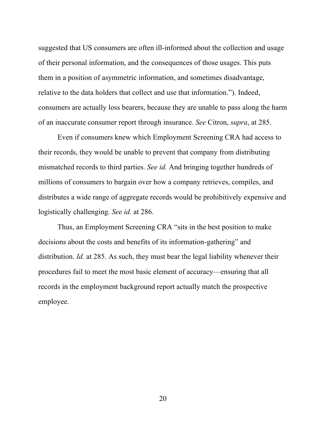suggested that US consumers are often ill-informed about the collection and usage of their personal information, and the consequences of those usages. This puts them in a position of asymmetric information, and sometimes disadvantage, relative to the data holders that collect and use that information."). Indeed, consumers are actually loss bearers, because they are unable to pass along the harm of an inaccurate consumer report through insurance. *See* Citron, *supra*, at 285.

Even if consumers knew which Employment Screening CRA had access to their records, they would be unable to prevent that company from distributing mismatched records to third parties. *See id.* And bringing together hundreds of millions of consumers to bargain over how a company retrieves, compiles, and distributes a wide range of aggregate records would be prohibitively expensive and logistically challenging. *See id.* at 286.

Thus, an Employment Screening CRA "sits in the best position to make decisions about the costs and benefits of its information-gathering" and distribution. *Id.* at 285. As such, they must bear the legal liability whenever their procedures fail to meet the most basic element of accuracy—ensuring that all records in the employment background report actually match the prospective employee.

20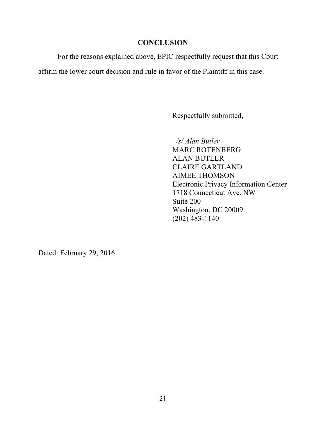## **CONCLUSION**

For the reasons explained above, EPIC respectfully request that this Court

affirm the lower court decision and rule in favor of the Plaintiff in this case.

Respectfully submitted,

 */s/ Alan Butler*

MARC ROTENBERG ALAN BUTLER CLAIRE GARTLAND AIMEE THOMSON Electronic Privacy Information Center 1718 Connecticut Ave. NW Suite 200 Washington, DC 20009 (202) 483-1140

Dated: February 29, 2016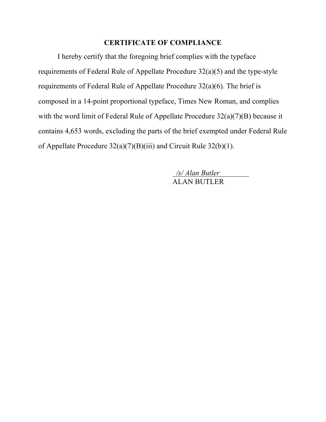# **CERTIFICATE OF COMPLIANCE**

I hereby certify that the foregoing brief complies with the typeface requirements of Federal Rule of Appellate Procedure 32(a)(5) and the type-style requirements of Federal Rule of Appellate Procedure 32(a)(6). The brief is composed in a 14-point proportional typeface, Times New Roman, and complies with the word limit of Federal Rule of Appellate Procedure  $32(a)(7)(B)$  because it contains 4,653 words, excluding the parts of the brief exempted under Federal Rule of Appellate Procedure 32(a)(7)(B)(iii) and Circuit Rule 32(b)(1).

> */s/ Alan Butler* ALAN BUTLER